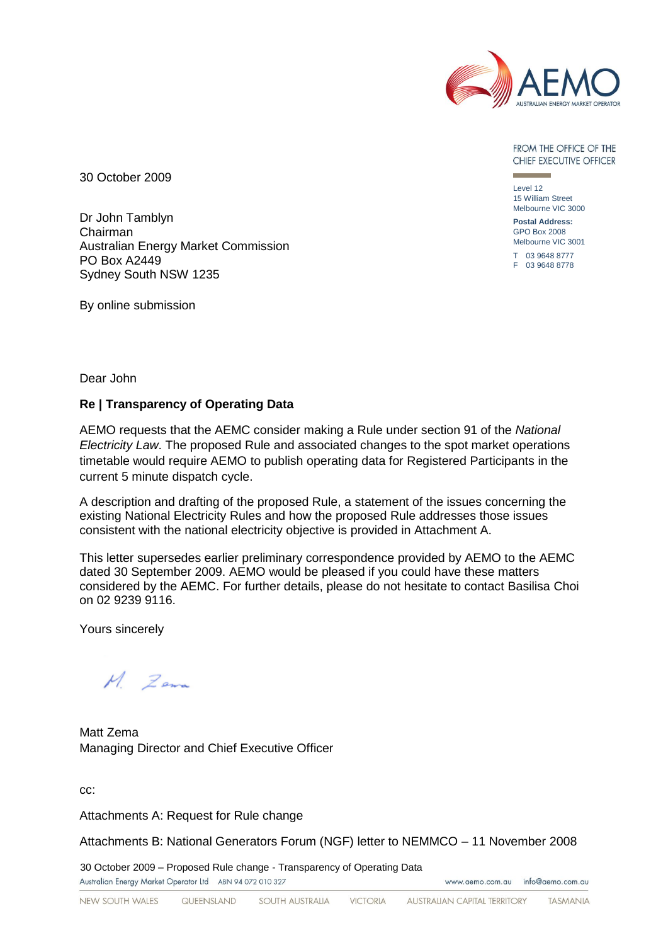

FROM THE OFFICE OF THE CHIEF EXECUTIVE OFFICER

30 October 2009

Dr John Tamblyn Chairman Australian Energy Market Commission PO Box A2449 Sydney South NSW 1235

By online submission

Level 12 15 William Street Melbourne VIC 3000

**Postal Address:** GPO Box 2008 Melbourne VIC 3001

T 03 9648 8777 F 03 9648 8778

www.aemo.com.au info@aemo.com.au

Dear John

### **Re | Transparency of Operating Data**

AEMO requests that the AEMC consider making a Rule under section 91 of the *National Electricity Law*. The proposed Rule and associated changes to the spot market operations timetable would require AEMO to publish operating data for Registered Participants in the current 5 minute dispatch cycle.

A description and drafting of the proposed Rule, a statement of the issues concerning the existing National Electricity Rules and how the proposed Rule addresses those issues consistent with the national electricity objective is provided in Attachment A.

This letter supersedes earlier preliminary correspondence provided by AEMO to the AEMC dated 30 September 2009. AEMO would be pleased if you could have these matters considered by the AEMC. For further details, please do not hesitate to contact Basilisa Choi on 02 9239 9116.

Yours sincerely

 $M$  Zena

Matt Zema Managing Director and Chief Executive Officer

cc:

Attachments A: Request for Rule change

Attachments B: National Generators Forum (NGF) letter to NEMMCO – 11 November 2008

30 October 2009 – Proposed Rule change - Transparency of Operating Data

Australian Energy Market Operator Ltd ABN 94 072 010 327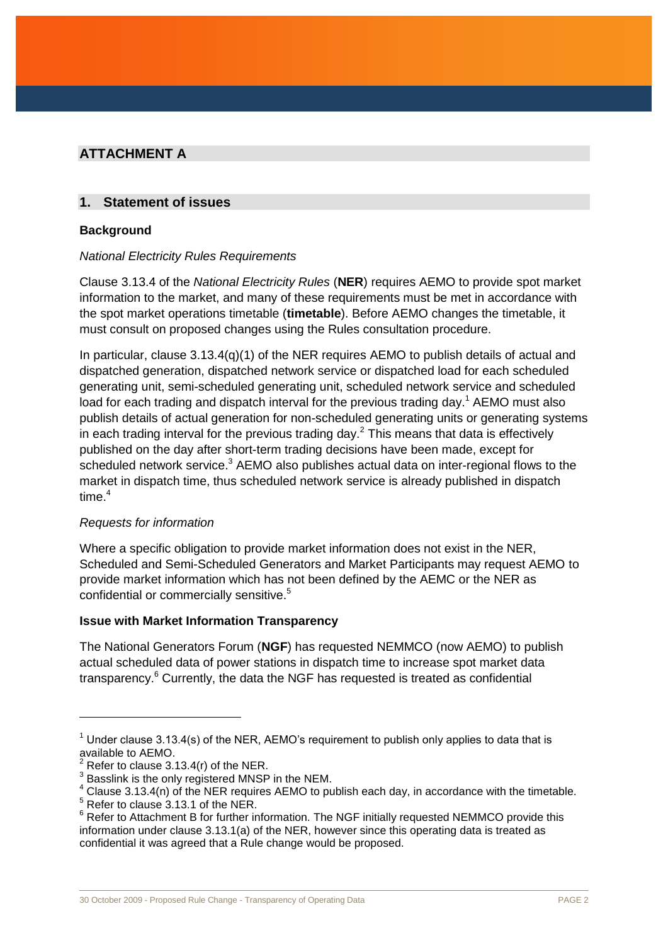# **ATTACHMENT A**

# **1. Statement of issues**

## **Background**

## *National Electricity Rules Requirements*

Clause 3.13.4 of the *National Electricity Rules* (**NER**) requires AEMO to provide spot market information to the market, and many of these requirements must be met in accordance with the spot market operations timetable (**timetable**). Before AEMO changes the timetable, it must consult on proposed changes using the Rules consultation procedure.

In particular, clause 3.13.4(q)(1) of the NER requires AEMO to publish details of actual and dispatched generation, dispatched network service or dispatched load for each scheduled generating unit, semi-scheduled generating unit, scheduled network service and scheduled load for each trading and dispatch interval for the previous trading day.<sup>1</sup> AEMO must also publish details of actual generation for non-scheduled generating units or generating systems in each trading interval for the previous trading day.<sup>2</sup> This means that data is effectively published on the day after short-term trading decisions have been made, except for scheduled network service. $3$  AEMO also publishes actual data on inter-regional flows to the market in dispatch time, thus scheduled network service is already published in dispatch time. 4

### *Requests for information*

Where a specific obligation to provide market information does not exist in the NER, Scheduled and Semi-Scheduled Generators and Market Participants may request AEMO to provide market information which has not been defined by the AEMC or the NER as confidential or commercially sensitive.<sup>5</sup>

### **Issue with Market Information Transparency**

The National Generators Forum (**NGF**) has requested NEMMCO (now AEMO) to publish actual scheduled data of power stations in dispatch time to increase spot market data transparency.<sup>6</sup> Currently, the data the NGF has requested is treated as confidential

 $\overline{a}$ 

 $1$  Under clause 3.13.4(s) of the NER, AEMO's requirement to publish only applies to data that is available to AEMO.

Refer to clause 3.13.4(r) of the NER.

<sup>3</sup> Basslink is the only registered MNSP in the NEM.

 $4$  Clause 3.13.4(n) of the NER requires AEMO to publish each day, in accordance with the timetable.

<sup>5</sup> Refer to clause 3.13.1 of the NER.

 $6$  Refer to Attachment B for further information. The NGF initially requested NEMMCO provide this information under clause 3.13.1(a) of the NER, however since this operating data is treated as confidential it was agreed that a Rule change would be proposed.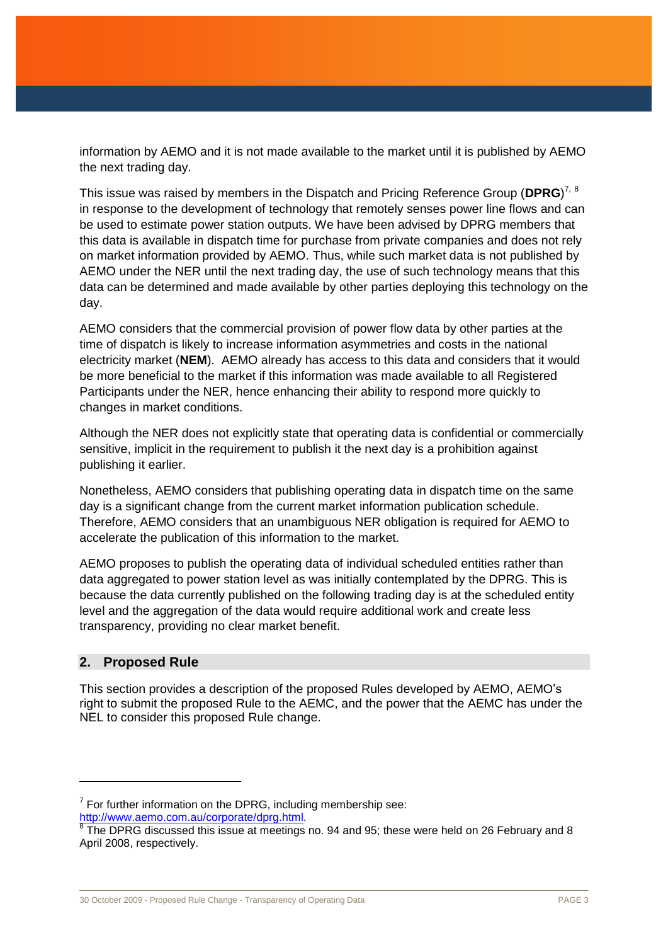information by AEMO and it is not made available to the market until it is published by AEMO the next trading day.

This issue was raised by members in the Dispatch and Pricing Reference Group (**DPRG**) 7, 8 in response to the development of technology that remotely senses power line flows and can be used to estimate power station outputs. We have been advised by DPRG members that this data is available in dispatch time for purchase from private companies and does not rely on market information provided by AEMO. Thus, while such market data is not published by AEMO under the NER until the next trading day, the use of such technology means that this data can be determined and made available by other parties deploying this technology on the day.

AEMO considers that the commercial provision of power flow data by other parties at the time of dispatch is likely to increase information asymmetries and costs in the national electricity market (**NEM**). AEMO already has access to this data and considers that it would be more beneficial to the market if this information was made available to all Registered Participants under the NER, hence enhancing their ability to respond more quickly to changes in market conditions.

Although the NER does not explicitly state that operating data is confidential or commercially sensitive, implicit in the requirement to publish it the next day is a prohibition against publishing it earlier.

Nonetheless, AEMO considers that publishing operating data in dispatch time on the same day is a significant change from the current market information publication schedule. Therefore, AEMO considers that an unambiguous NER obligation is required for AEMO to accelerate the publication of this information to the market.

AEMO proposes to publish the operating data of individual scheduled entities rather than data aggregated to power station level as was initially contemplated by the DPRG. This is because the data currently published on the following trading day is at the scheduled entity level and the aggregation of the data would require additional work and create less transparency, providing no clear market benefit.

### **2. Proposed Rule**

This section provides a description of the proposed Rules developed by AEMO, AEMO's right to submit the proposed Rule to the AEMC, and the power that the AEMC has under the NEL to consider this proposed Rule change.

 $7$  For further information on the DPRG, including membership see:

[http://www.aemo.com.au/corporate/dprg.html.](http://www.aemo.com.au/corporate/dprg.html)<br><sup>8</sup> The DPRG discussed this issue at meetings no. 94 and 95; these were held on 26 February and 8 April 2008, respectively.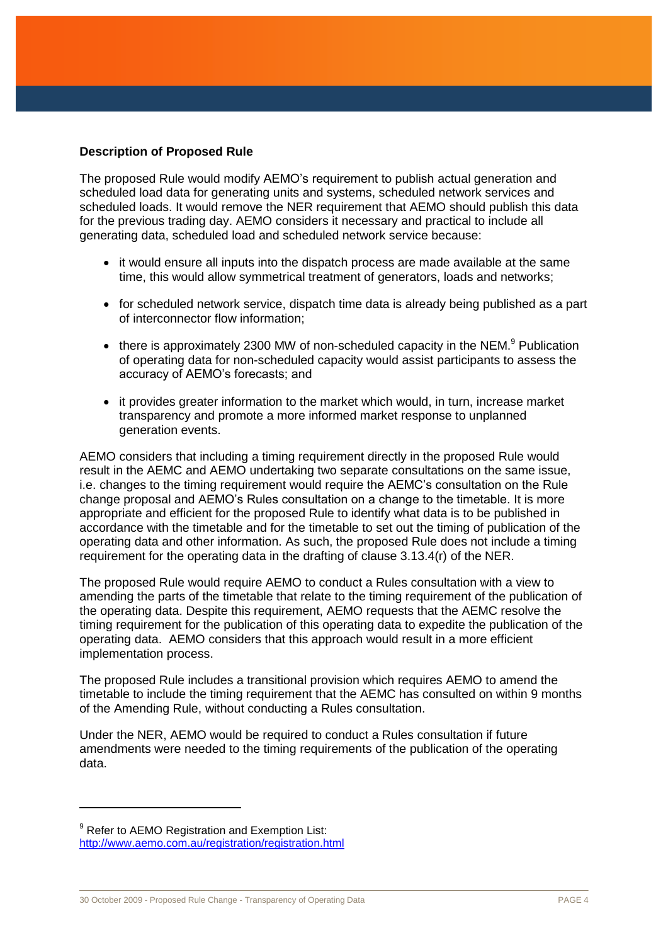### **Description of Proposed Rule**

The proposed Rule would modify AEMO's requirement to publish actual generation and scheduled load data for generating units and systems, scheduled network services and scheduled loads. It would remove the NER requirement that AEMO should publish this data for the previous trading day. AEMO considers it necessary and practical to include all generating data, scheduled load and scheduled network service because:

- it would ensure all inputs into the dispatch process are made available at the same time, this would allow symmetrical treatment of generators, loads and networks;
- for scheduled network service, dispatch time data is already being published as a part of interconnector flow information;
- $\bullet$  there is approximately 2300 MW of non-scheduled capacity in the NEM.<sup>9</sup> Publication of operating data for non-scheduled capacity would assist participants to assess the accuracy of AEMO's forecasts; and
- it provides greater information to the market which would, in turn, increase market transparency and promote a more informed market response to unplanned generation events.

AEMO considers that including a timing requirement directly in the proposed Rule would result in the AEMC and AEMO undertaking two separate consultations on the same issue, i.e. changes to the timing requirement would require the AEMC's consultation on the Rule change proposal and AEMO's Rules consultation on a change to the timetable. It is more appropriate and efficient for the proposed Rule to identify what data is to be published in accordance with the timetable and for the timetable to set out the timing of publication of the operating data and other information. As such, the proposed Rule does not include a timing requirement for the operating data in the drafting of clause 3.13.4(r) of the NER.

The proposed Rule would require AEMO to conduct a Rules consultation with a view to amending the parts of the timetable that relate to the timing requirement of the publication of the operating data. Despite this requirement, AEMO requests that the AEMC resolve the timing requirement for the publication of this operating data to expedite the publication of the operating data. AEMO considers that this approach would result in a more efficient implementation process.

The proposed Rule includes a transitional provision which requires AEMO to amend the timetable to include the timing requirement that the AEMC has consulted on within 9 months of the Amending Rule, without conducting a Rules consultation.

Under the NER, AEMO would be required to conduct a Rules consultation if future amendments were needed to the timing requirements of the publication of the operating data.

 $\overline{a}$ 

 $9$  Refer to AEMO Registration and Exemption List: <http://www.aemo.com.au/registration/registration.html>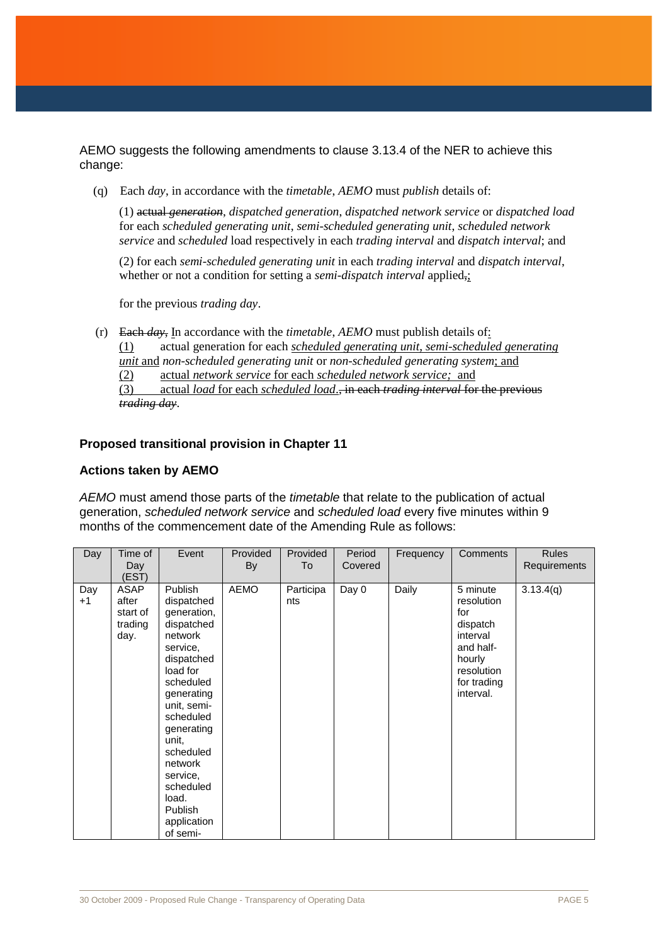AEMO suggests the following amendments to clause 3.13.4 of the NER to achieve this change:

(q) Each *day*, in accordance with the *timetable*, *AEMO* must *publish* details of:

(1) actual *generation*, *dispatched generation*, *dispatched network service* or *dispatched load*  for each *scheduled generating unit*, *semi-scheduled generating unit*, *scheduled network service* and *scheduled* load respectively in each *trading interval* and *dispatch interval*; and

(2) for each *semi-scheduled generating unit* in each *trading interval* and *dispatch interval*, whether or not a condition for setting a *semi-dispatch interval* applied<sub>;</sub>;

for the previous *trading day*.

(r) Each *day*, In accordance with the *timetable*, *AEMO* must publish details of:

(1) actual generation for each *scheduled generating unit*, *semi-scheduled generating unit* and *non-scheduled generating unit* or *non-scheduled generating system*; and

(2) actual *network service* for each *scheduled network service;* and

(3) actual *load* for each *scheduled load*., in each *trading interval* for the previous *trading day*.

#### **Proposed transitional provision in Chapter 11**

#### **Actions taken by AEMO**

*AEMO* must amend those parts of the *timetable* that relate to the publication of actual generation, *scheduled network service* and *scheduled load* every five minutes within 9 months of the commencement date of the Amending Rule as follows:

| Day         | Time of<br>Day<br>(EST)                      | Event                                                                                                                                                                                                                                                                                    | Provided<br>By | Provided<br>To   | Period<br>Covered | Frequency | <b>Comments</b>                                                                                                        | <b>Rules</b><br>Requirements |
|-------------|----------------------------------------------|------------------------------------------------------------------------------------------------------------------------------------------------------------------------------------------------------------------------------------------------------------------------------------------|----------------|------------------|-------------------|-----------|------------------------------------------------------------------------------------------------------------------------|------------------------------|
| Day<br>$+1$ | ASAP<br>after<br>start of<br>trading<br>day. | Publish<br>dispatched<br>generation,<br>dispatched<br>network<br>service,<br>dispatched<br>load for<br>scheduled<br>generating<br>unit, semi-<br>scheduled<br>generating<br>unit,<br>scheduled<br>network<br>service,<br>scheduled<br>load.<br><b>Publish</b><br>application<br>of semi- | AEMO           | Participa<br>nts | Day 0             | Daily     | 5 minute<br>resolution<br>for<br>dispatch<br>interval<br>and half-<br>hourly<br>resolution<br>for trading<br>interval. | 3.13.4(q)                    |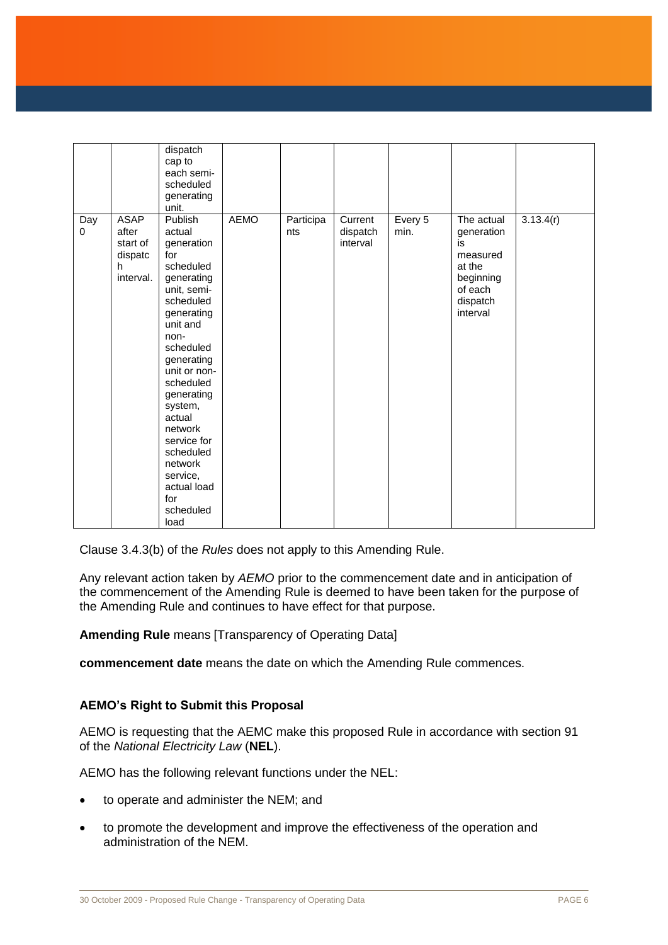|          |                                                               | dispatch<br>cap to<br>each semi-<br>scheduled<br>generating<br>unit.                                                                                                                                                                                                                                                                |             |                  |                                 |                   |                                                                                                      |           |
|----------|---------------------------------------------------------------|-------------------------------------------------------------------------------------------------------------------------------------------------------------------------------------------------------------------------------------------------------------------------------------------------------------------------------------|-------------|------------------|---------------------------------|-------------------|------------------------------------------------------------------------------------------------------|-----------|
| Day<br>0 | <b>ASAP</b><br>after<br>start of<br>dispatc<br>h<br>interval. | Publish<br>actual<br>generation<br>for<br>scheduled<br>generating<br>unit, semi-<br>scheduled<br>generating<br>unit and<br>non-<br>scheduled<br>generating<br>unit or non-<br>scheduled<br>generating<br>system,<br>actual<br>network<br>service for<br>scheduled<br>network<br>service,<br>actual load<br>for<br>scheduled<br>load | <b>AEMO</b> | Participa<br>nts | Current<br>dispatch<br>interval | Every $5$<br>min. | The actual<br>generation<br>is<br>measured<br>at the<br>beginning<br>of each<br>dispatch<br>interval | 3.13.4(r) |

Clause 3.4.3(b) of the *Rules* does not apply to this Amending Rule.

Any relevant action taken by *AEMO* prior to the commencement date and in anticipation of the commencement of the Amending Rule is deemed to have been taken for the purpose of the Amending Rule and continues to have effect for that purpose.

**Amending Rule** means [Transparency of Operating Data]

**commencement date** means the date on which the Amending Rule commences.

### **AEMO's Right to Submit this Proposal**

AEMO is requesting that the AEMC make this proposed Rule in accordance with section 91 of the *National Electricity Law* (**NEL**).

AEMO has the following relevant functions under the NEL:

- to operate and administer the NEM; and
- to promote the development and improve the effectiveness of the operation and administration of the NEM.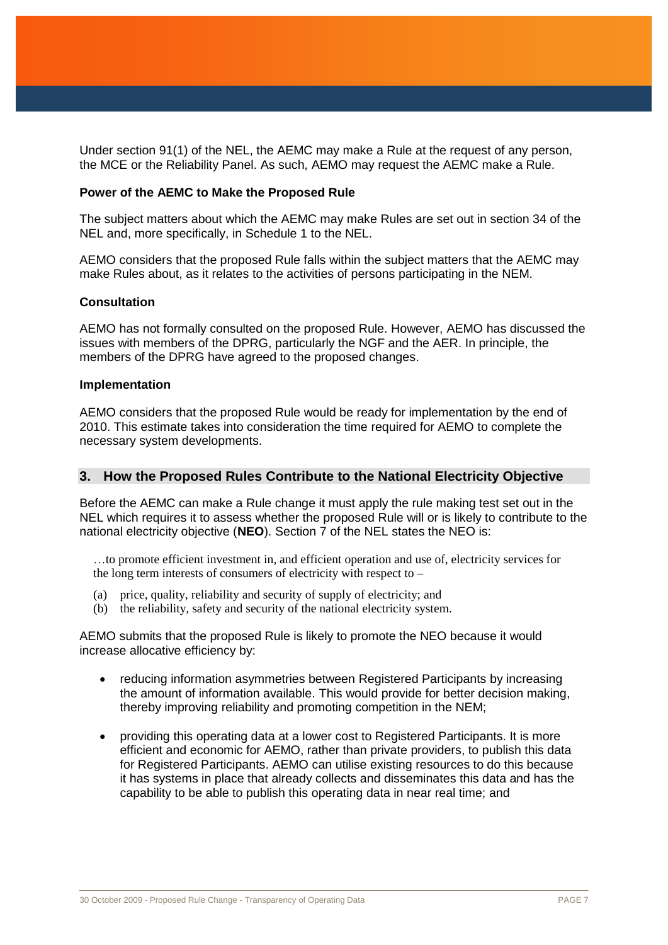Under section 91(1) of the NEL, the AEMC may make a Rule at the request of any person, the MCE or the Reliability Panel. As such, AEMO may request the AEMC make a Rule.

#### **Power of the AEMC to Make the Proposed Rule**

The subject matters about which the AEMC may make Rules are set out in section 34 of the NEL and, more specifically, in Schedule 1 to the NEL.

AEMO considers that the proposed Rule falls within the subject matters that the AEMC may make Rules about, as it relates to the activities of persons participating in the NEM.

#### **Consultation**

AEMO has not formally consulted on the proposed Rule. However, AEMO has discussed the issues with members of the DPRG, particularly the NGF and the AER. In principle, the members of the DPRG have agreed to the proposed changes.

#### **Implementation**

AEMO considers that the proposed Rule would be ready for implementation by the end of 2010. This estimate takes into consideration the time required for AEMO to complete the necessary system developments.

#### **3. How the Proposed Rules Contribute to the National Electricity Objective**

Before the AEMC can make a Rule change it must apply the rule making test set out in the NEL which requires it to assess whether the proposed Rule will or is likely to contribute to the national electricity objective (**NEO**). Section 7 of the NEL states the NEO is:

…to promote efficient investment in, and efficient operation and use of, electricity services for the long term interests of consumers of electricity with respect to –

- (a) price, quality, reliability and security of supply of electricity; and
- (b) the reliability, safety and security of the national electricity system.

AEMO submits that the proposed Rule is likely to promote the NEO because it would increase allocative efficiency by:

- reducing information asymmetries between Registered Participants by increasing the amount of information available. This would provide for better decision making, thereby improving reliability and promoting competition in the NEM;
- providing this operating data at a lower cost to Registered Participants. It is more efficient and economic for AEMO, rather than private providers, to publish this data for Registered Participants. AEMO can utilise existing resources to do this because it has systems in place that already collects and disseminates this data and has the capability to be able to publish this operating data in near real time; and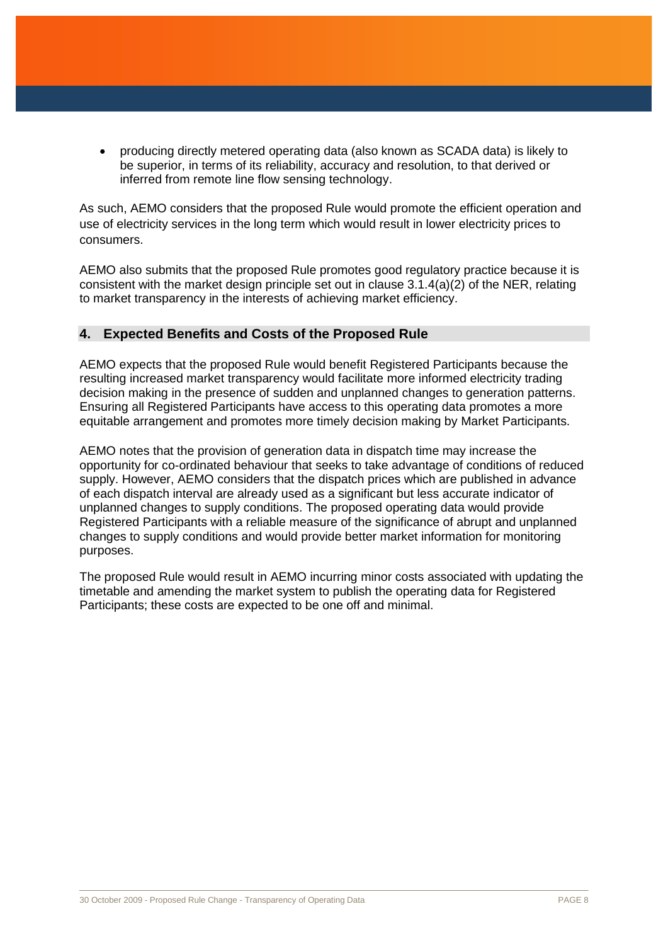producing directly metered operating data (also known as SCADA data) is likely to be superior, in terms of its reliability, accuracy and resolution, to that derived or inferred from remote line flow sensing technology.

As such, AEMO considers that the proposed Rule would promote the efficient operation and use of electricity services in the long term which would result in lower electricity prices to consumers.

AEMO also submits that the proposed Rule promotes good regulatory practice because it is consistent with the market design principle set out in clause 3.1.4(a)(2) of the NER, relating to market transparency in the interests of achieving market efficiency.

## **4. Expected Benefits and Costs of the Proposed Rule**

AEMO expects that the proposed Rule would benefit Registered Participants because the resulting increased market transparency would facilitate more informed electricity trading decision making in the presence of sudden and unplanned changes to generation patterns. Ensuring all Registered Participants have access to this operating data promotes a more equitable arrangement and promotes more timely decision making by Market Participants.

AEMO notes that the provision of generation data in dispatch time may increase the opportunity for co-ordinated behaviour that seeks to take advantage of conditions of reduced supply. However, AEMO considers that the dispatch prices which are published in advance of each dispatch interval are already used as a significant but less accurate indicator of unplanned changes to supply conditions. The proposed operating data would provide Registered Participants with a reliable measure of the significance of abrupt and unplanned changes to supply conditions and would provide better market information for monitoring purposes.

The proposed Rule would result in AEMO incurring minor costs associated with updating the timetable and amending the market system to publish the operating data for Registered Participants; these costs are expected to be one off and minimal.